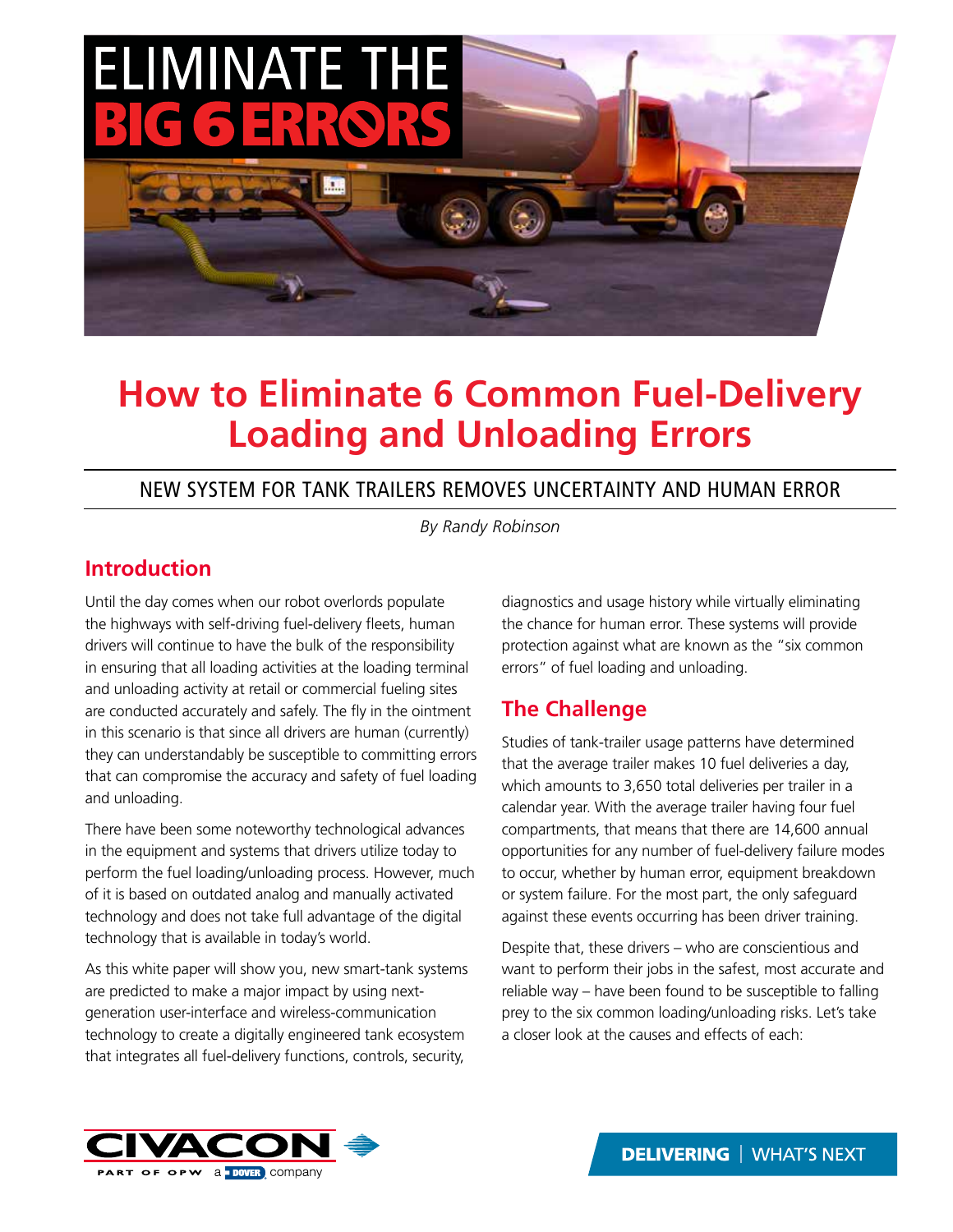

# **How to Eliminate 6 Common Fuel-Delivery Loading and Unloading Errors**

## NEW SYSTEM FOR TANK TRAILERS REMOVES UNCERTAINTY AND HUMAN ERROR

*By Randy Robinson*

## **Introduction**

Until the day comes when our robot overlords populate the highways with self-driving fuel-delivery fleets, human drivers will continue to have the bulk of the responsibility in ensuring that all loading activities at the loading terminal and unloading activity at retail or commercial fueling sites are conducted accurately and safely. The fly in the ointment in this scenario is that since all drivers are human (currently) they can understandably be susceptible to committing errors that can compromise the accuracy and safety of fuel loading and unloading.

There have been some noteworthy technological advances in the equipment and systems that drivers utilize today to perform the fuel loading/unloading process. However, much of it is based on outdated analog and manually activated technology and does not take full advantage of the digital technology that is available in today's world.

As this white paper will show you, new smart-tank systems are predicted to make a major impact by using nextgeneration user-interface and wireless-communication technology to create a digitally engineered tank ecosystem that integrates all fuel-delivery functions, controls, security,

diagnostics and usage history while virtually eliminating the chance for human error. These systems will provide protection against what are known as the "six common errors" of fuel loading and unloading.

# **The Challenge**

Studies of tank-trailer usage patterns have determined that the average trailer makes 10 fuel deliveries a day, which amounts to 3,650 total deliveries per trailer in a calendar year. With the average trailer having four fuel compartments, that means that there are 14,600 annual opportunities for any number of fuel-delivery failure modes to occur, whether by human error, equipment breakdown or system failure. For the most part, the only safeguard against these events occurring has been driver training.

Despite that, these drivers – who are conscientious and want to perform their jobs in the safest, most accurate and reliable way – have been found to be susceptible to falling prey to the six common loading/unloading risks. Let's take a closer look at the causes and effects of each:



**DELIVERING | WHAT'S NEXT**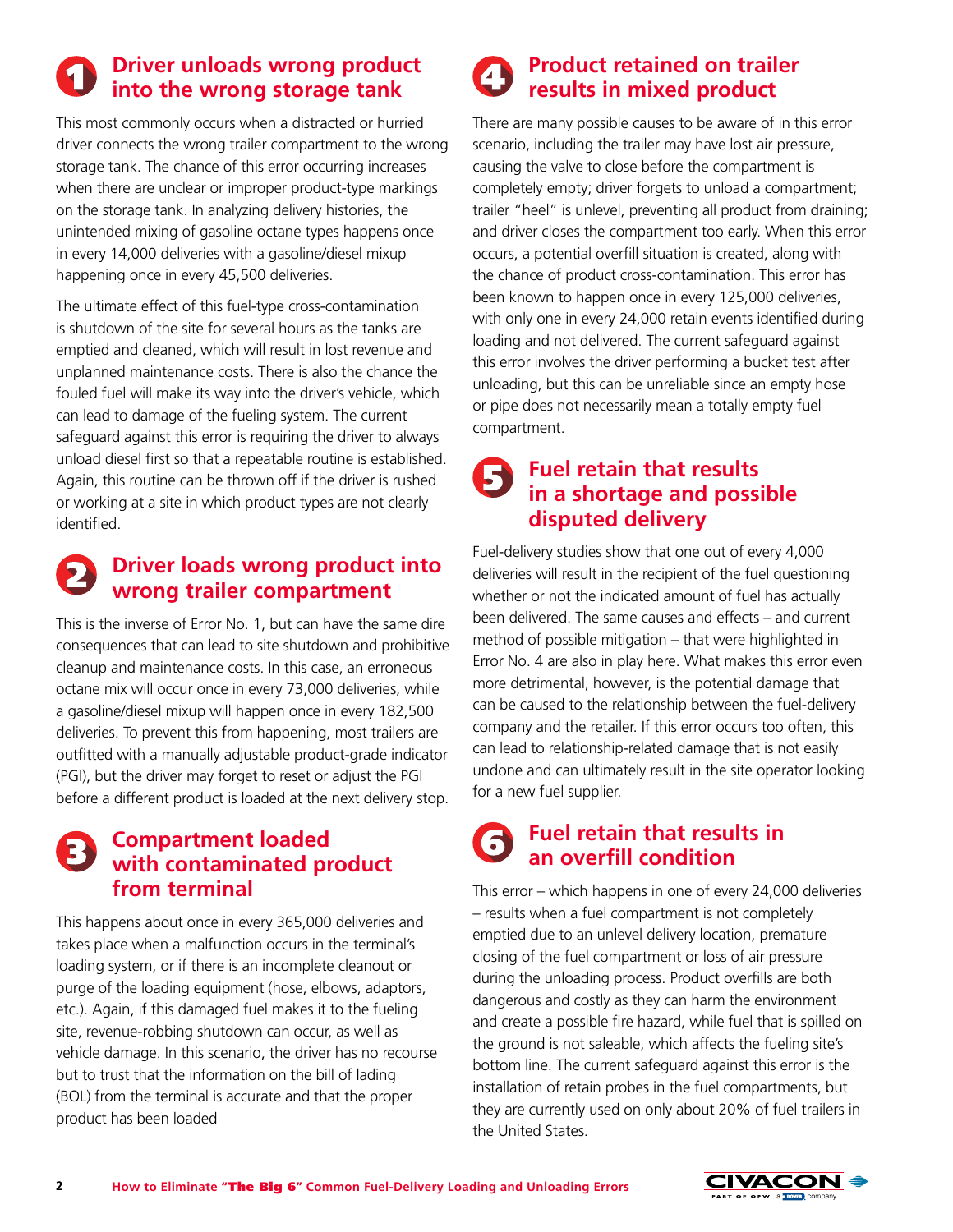# **Driver unloads wrong product into the wrong storage tank**

This most commonly occurs when a distracted or hurried driver connects the wrong trailer compartment to the wrong storage tank. The chance of this error occurring increases when there are unclear or improper product-type markings on the storage tank. In analyzing delivery histories, the unintended mixing of gasoline octane types happens once in every 14,000 deliveries with a gasoline/diesel mixup happening once in every 45,500 deliveries.

The ultimate effect of this fuel-type cross-contamination is shutdown of the site for several hours as the tanks are emptied and cleaned, which will result in lost revenue and unplanned maintenance costs. There is also the chance the fouled fuel will make its way into the driver's vehicle, which can lead to damage of the fueling system. The current safeguard against this error is requiring the driver to always unload diesel first so that a repeatable routine is established. Again, this routine can be thrown off if the driver is rushed or working at a site in which product types are not clearly identified.

# **Driver loads wrong product into wrong trailer compartment**

This is the inverse of Error No. 1, but can have the same dire consequences that can lead to site shutdown and prohibitive cleanup and maintenance costs. In this case, an erroneous octane mix will occur once in every 73,000 deliveries, while a gasoline/diesel mixup will happen once in every 182,500 deliveries. To prevent this from happening, most trailers are outfitted with a manually adjustable product-grade indicator (PGI), but the driver may forget to reset or adjust the PGI before a different product is loaded at the next delivery stop.

#### **Compartment loaded with contaminated product from terminal**

This happens about once in every 365,000 deliveries and takes place when a malfunction occurs in the terminal's loading system, or if there is an incomplete cleanout or purge of the loading equipment (hose, elbows, adaptors, etc.). Again, if this damaged fuel makes it to the fueling site, revenue-robbing shutdown can occur, as well as vehicle damage. In this scenario, the driver has no recourse but to trust that the information on the bill of lading (BOL) from the terminal is accurate and that the proper product has been loaded

# **Product retained on trailer results in mixed product**

There are many possible causes to be aware of in this error scenario, including the trailer may have lost air pressure, causing the valve to close before the compartment is completely empty; driver forgets to unload a compartment; trailer "heel" is unlevel, preventing all product from draining; and driver closes the compartment too early. When this error occurs, a potential overfill situation is created, along with the chance of product cross-contamination. This error has been known to happen once in every 125,000 deliveries, with only one in every 24,000 retain events identified during loading and not delivered. The current safeguard against this error involves the driver performing a bucket test after unloading, but this can be unreliable since an empty hose or pipe does not necessarily mean a totally empty fuel compartment.

# **Fuel retain that results in a shortage and possible disputed delivery**

Fuel-delivery studies show that one out of every 4,000 deliveries will result in the recipient of the fuel questioning whether or not the indicated amount of fuel has actually been delivered. The same causes and effects – and current method of possible mitigation – that were highlighted in Error No. 4 are also in play here. What makes this error even more detrimental, however, is the potential damage that can be caused to the relationship between the fuel-delivery company and the retailer. If this error occurs too often, this can lead to relationship-related damage that is not easily undone and can ultimately result in the site operator looking for a new fuel supplier.

# **Fuel retain that results in an overfill condition**

This error – which happens in one of every 24,000 deliveries – results when a fuel compartment is not completely emptied due to an unlevel delivery location, premature closing of the fuel compartment or loss of air pressure during the unloading process. Product overfills are both dangerous and costly as they can harm the environment and create a possible fire hazard, while fuel that is spilled on the ground is not saleable, which affects the fueling site's bottom line. The current safeguard against this error is the installation of retain probes in the fuel compartments, but they are currently used on only about 20% of fuel trailers in the United States.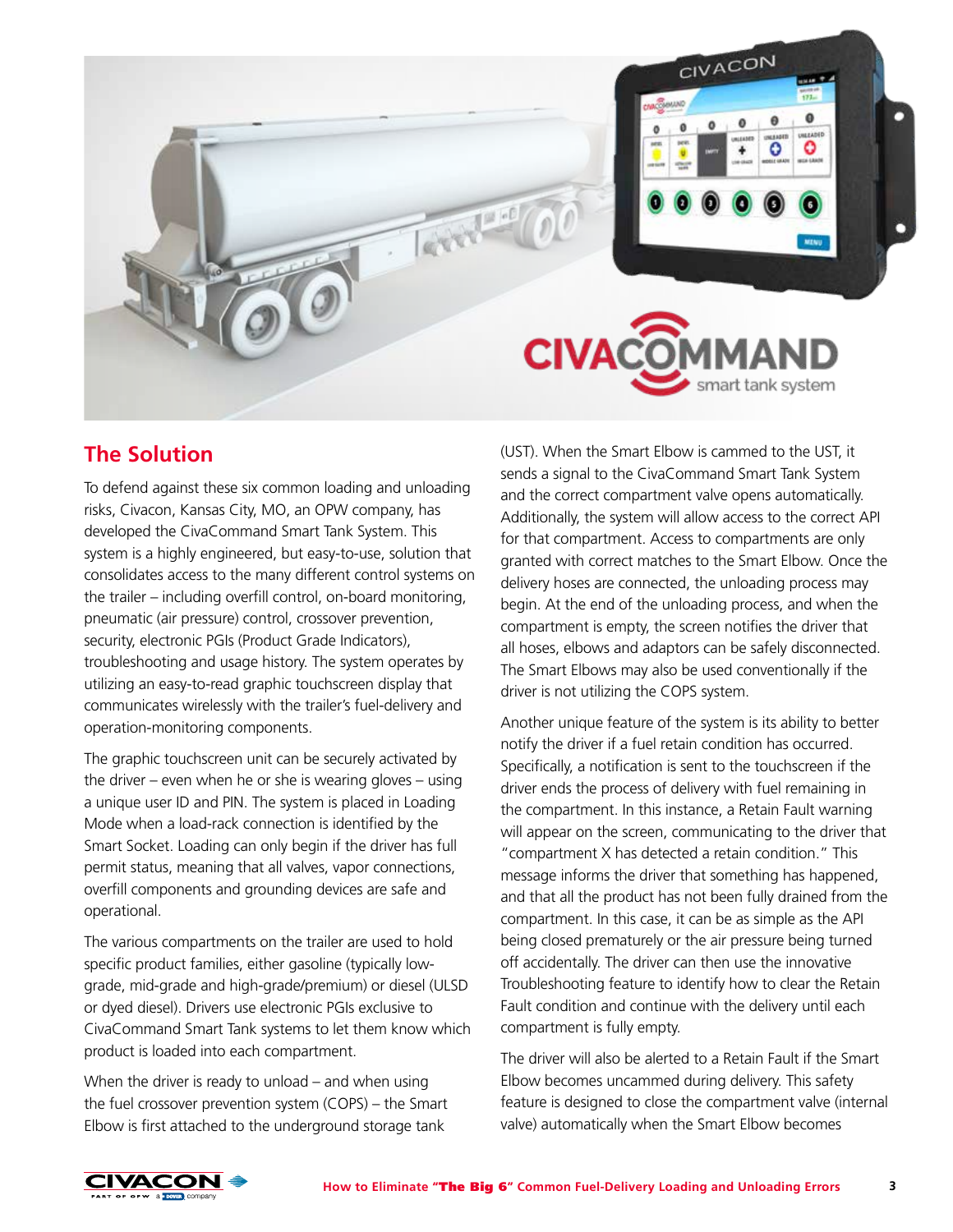

# **The Solution**

To defend against these six common loading and unloading risks, Civacon, Kansas City, MO, an OPW company, has developed the CivaCommand Smart Tank System. This system is a highly engineered, but easy-to-use, solution that consolidates access to the many different control systems on the trailer – including overfill control, on-board monitoring, pneumatic (air pressure) control, crossover prevention, security, electronic PGIs (Product Grade Indicators), troubleshooting and usage history. The system operates by utilizing an easy-to-read graphic touchscreen display that communicates wirelessly with the trailer's fuel-delivery and operation-monitoring components.

The graphic touchscreen unit can be securely activated by the driver – even when he or she is wearing gloves – using a unique user ID and PIN. The system is placed in Loading Mode when a load-rack connection is identified by the Smart Socket. Loading can only begin if the driver has full permit status, meaning that all valves, vapor connections, overfill components and grounding devices are safe and operational.

The various compartments on the trailer are used to hold specific product families, either gasoline (typically lowgrade, mid-grade and high-grade/premium) or diesel (ULSD or dyed diesel). Drivers use electronic PGIs exclusive to CivaCommand Smart Tank systems to let them know which product is loaded into each compartment.

When the driver is ready to unload – and when using the fuel crossover prevention system (COPS) – the Smart Elbow is first attached to the underground storage tank

(UST). When the Smart Elbow is cammed to the UST, it sends a signal to the CivaCommand Smart Tank System and the correct compartment valve opens automatically. Additionally, the system will allow access to the correct API for that compartment. Access to compartments are only granted with correct matches to the Smart Elbow. Once the delivery hoses are connected, the unloading process may begin. At the end of the unloading process, and when the compartment is empty, the screen notifies the driver that all hoses, elbows and adaptors can be safely disconnected. The Smart Elbows may also be used conventionally if the driver is not utilizing the COPS system.

Another unique feature of the system is its ability to better notify the driver if a fuel retain condition has occurred. Specifically, a notification is sent to the touchscreen if the driver ends the process of delivery with fuel remaining in the compartment. In this instance, a Retain Fault warning will appear on the screen, communicating to the driver that "compartment X has detected a retain condition." This message informs the driver that something has happened, and that all the product has not been fully drained from the compartment. In this case, it can be as simple as the API being closed prematurely or the air pressure being turned off accidentally. The driver can then use the innovative Troubleshooting feature to identify how to clear the Retain Fault condition and continue with the delivery until each compartment is fully empty.

The driver will also be alerted to a Retain Fault if the Smart Elbow becomes uncammed during delivery. This safety feature is designed to close the compartment valve (internal valve) automatically when the Smart Elbow becomes